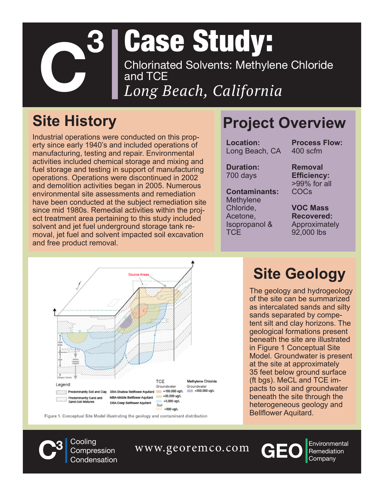

# Case Study:

*Long Beach, California* Chlorinated Solvents: Methylene Chloride and TCE

Industrial operations were conducted on this property since early 1940's and included operations of manufacturing, testing and repair. Environmental activities included chemical storage and mixing and fuel storage and testing in support of manufacturing operations. Operations were discontinued in 2002 and demolition activities began in 2005. Numerous environmental site assessments and remediation have been conducted at the subject remediation site since mid 1980s. Remedial activities within the project treatment area pertaining to this study included solvent and jet fuel underground storage tank removal, jet fuel and solvent impacted soil excavation and free product removal.

## **Site History Project Overview**

**Location:** Long Beach, CA **Process Flow:**

**Duration:** 700 days

**Contaminants: Methylene** Chloride, Acetone, Isopropanol & **TCF** 

400 scfm **Removal** 

**Efficiency:** >99% for all COCs

**VOC Mass Recovered:** Approximately 92,000 lbs



Figure 1. Conceptual Site Model illustrating the geology and contaminant distribution

### **Site Geology**

The geology and hydrogeology of the site can be summarized as intercalated sands and silty sands separated by competent silt and clay horizons. The geological formations present beneath the site are illustrated in Figure 1 Conceptual Site Model. Groundwater is present at the site at approximately 35 feet below ground surface (ft bgs). MeCL and TCE impacts to soil and groundwater beneath the site through the heterogeneous geology and Bellflower Aquitard.

**3** Cooling Compression Condensation

**C**<sup>3</sup> Cooling Compression WWW.georemco.com **CEO** Environment Condensation



Environmental<br>Remediation<br>Company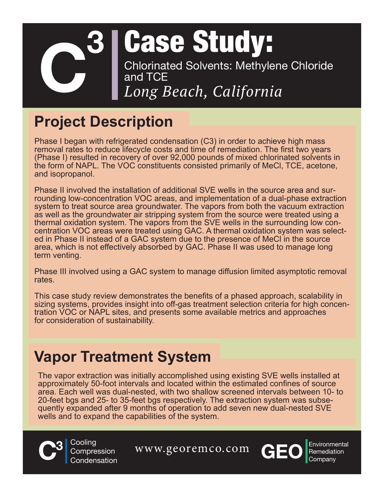#### *Long Beach, California* Case Study: **C3** Chlorinated Solvents: Methylene Chloride and TCE

## **Project Description**

Phase I began with refrigerated condensation (C3) in order to achieve high mass removal rates to reduce lifecycle costs and time of remediation. The first two years (Phase I) resulted in recovery of over 92,000 pounds of mixed chlorinated solvents in the form of NAPL. The VOC constituents consisted primarily of MeCl, TCE, acetone, and isopropanol.

Phase II involved the installation of additional SVE wells in the source area and surrounding low-concentration VOC areas, and implementation of a dual-phase extraction system to treat source area groundwater. The vapors from both the vacuum extraction as well as the groundwater air stripping system from the source were treated using a thermal oxidation system. The vapors from the SVE wells in the surrounding low concentration VOC areas were treated using GAC. A thermal oxidation system was selected in Phase II instead of a GAC system due to the presence of MeCl in the source area, which is not effectively absorbed by GAC. Phase II was used to manage long term venting.

Phase III involved using a GAC system to manage diffusion limited asymptotic removal rates.

This case study review demonstrates the benefits of a phased approach, scalability in sizing systems, provides insight into off-gas treatment selection criteria for high concentration VOC or NAPL sites, and presents some available metrics and approaches for consideration of sustainability.

### **Vapor Treatment System**

The vapor extraction was initially accomplished using existing SVE wells installed at approximately 50-foot intervals and located within the estimated confines of source area. Each well was dual-nested, with two shallow screened intervals between 10- to quently expanded after 9 months of operation to add seven new dual-nested SVE wells and to expand the capabilities of the system.



**3** Cooling Compression Condensation

**C**<sup>3</sup> Cooling Compression WWW.georemco.com **CEO** Environment Condensation



Environmental<br>Remediation<br>Company